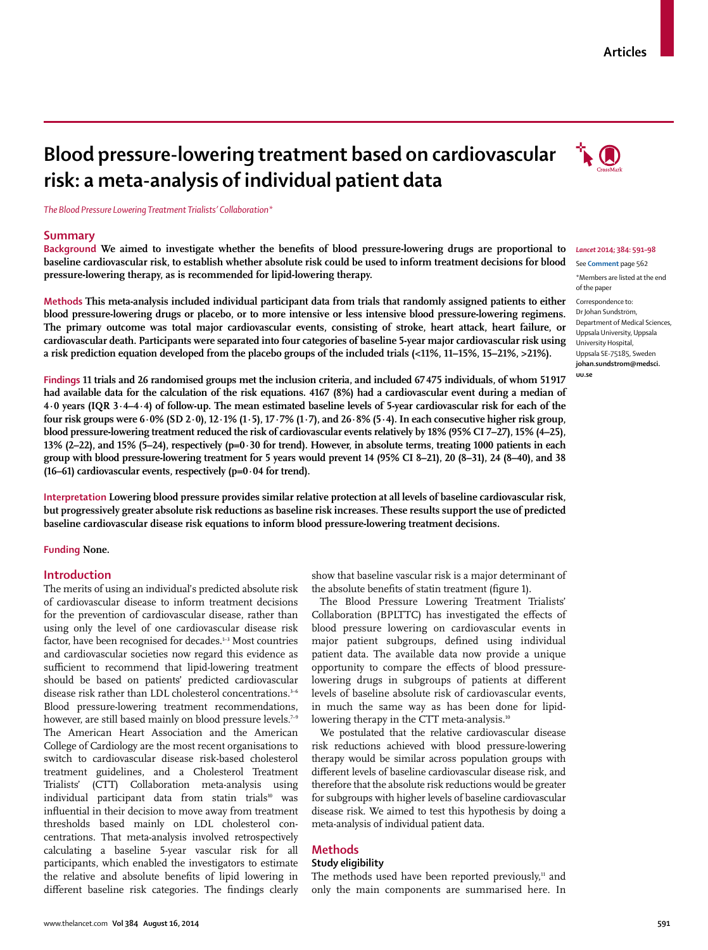# **Articles**

# **Blood pressure-lowering treatment based on cardiovascular risk: a meta-analysis of individual patient data**



*The Blood Pressure Lowering Treatment Trialists' Collaboration\**

#### **Summary**

Background We aimed to investigate whether the benefits of blood pressure-lowering drugs are proportional to **baseline cardiovascular risk, to establish whether absolute risk could be used to inform treatment decisions for blood pressure-lowering therapy, as is recommended for lipid-lowering therapy.**

**Methods This meta-analysis included individual participant data from trials that randomly assigned patients to either blood pressure-lowering drugs or placebo, or to more intensive or less intensive blood pressure-lowering regimens. The primary outcome was total major cardiovascular events, consisting of stroke, heart attack, heart failure, or cardiovascular death. Participants were separated into four categories of baseline 5-year major cardiovascular risk using a risk prediction equation developed from the placebo groups of the included trials (<11%, 11–15%, 15–21%, >21%).**

**Findings 11 trials and 26 randomised groups met the inclusion criteria, and included 67 475 individuals, of whom 51 917 had available data for the calculation of the risk equations. 4167 (8%) had a cardiovascular event during a median of 4·0 years (IQR 3·4–4·4) of follow-up. The mean estimated baseline levels of 5-year cardiovascular risk for each of the four risk groups were 6·0% (SD 2·0), 12·1% (1·5), 17·7% (1·7), and 26·8% (5·4). In each consecutive higher risk group, blood pressure-lowering treatment reduced the risk of cardiovascular events relatively by 18% (95% CI 7–27), 15% (4–25), 13% (2–22), and 15% (5–24), respectively (p=0·30 for trend). However, in absolute terms, treating 1000 patients in each group with blood pressure-lowering treatment for 5 years would prevent 14 (95% CI 8–21), 20 (8–31), 24 (8–40), and 38 (16–61) cardiovascular events, respectively (p=0·04 for trend).**

**Interpretation Lowering blood pressure provides similar relative protection at all levels of baseline cardiovascular risk, but progressively greater absolute risk reductions as baseline risk increases. These results support the use of predicted baseline cardiovascular disease risk equations to inform blood pressure-lowering treatment decisions.**

**Funding None.**

#### **Introduction**

The merits of using an individual's predicted absolute risk of cardiovascular disease to inform treatment decisions for the prevention of cardiovascular disease, rather than using only the level of one cardiovascular disease risk factor, have been recognised for decades.<sup>1-3</sup> Most countries and cardiovascular societies now regard this evidence as sufficient to recommend that lipid-lowering treatment should be based on patients' predicted cardiovascular disease risk rather than LDL cholesterol concentrations.<sup>3-6</sup> Blood pressure-lowering treatment recommendations, however, are still based mainly on blood pressure levels.<sup>7-9</sup> The American Heart Association and the American College of Cardiology are the most recent organisations to switch to cardiovascular disease risk-based cholesterol treatment guidelines, and a Cholesterol Treatment Trialists' (CTT) Collaboration meta-analysis using individual participant data from statin trials<sup>10</sup> was influential in their decision to move away from treatment thresholds based mainly on LDL cholesterol concentrations. That meta-analysis involved retrospectively calculating a baseline 5-year vascular risk for all participants, which enabled the investigators to estimate the relative and absolute benefits of lipid lowering in different baseline risk categories. The findings clearly show that baseline vascular risk is a major determinant of the absolute benefits of statin treatment (figure 1).

The Blood Pressure Lowering Treatment Trialists' Collaboration (BPLTTC) has investigated the effects of blood pressure lowering on cardiovascular events in major patient subgroups, defined using individual patient data. The available data now provide a unique opportunity to compare the effects of blood pressurelowering drugs in subgroups of patients at different levels of baseline absolute risk of cardiovascular events, in much the same way as has been done for lipidlowering therapy in the CTT meta-analysis.<sup>10</sup>

We postulated that the relative cardiovascular disease risk reductions achieved with blood pressure-lowering therapy would be similar across population groups with different levels of baseline cardiovascular disease risk, and therefore that the absolute risk reductions would be greater for subgroups with higher levels of baseline cardiovascular disease risk. We aimed to test this hypothesis by doing a meta-analysis of individual patient data.

## **Methods**

## **Study eligibility**

The methods used have been reported previously, $11$  and only the main components are summarised here. In

#### *Lancet* **2014; 384: 591–98** See **Comment** page 562

\*Members are listed at the end of the paper

Correspondence to: Dr Johan Sundström, Department of Medical Sciences, Uppsala University, Uppsala University Hospital, Uppsala SE-75185, Sweden **johan.sundstrom@medsci. uu.se**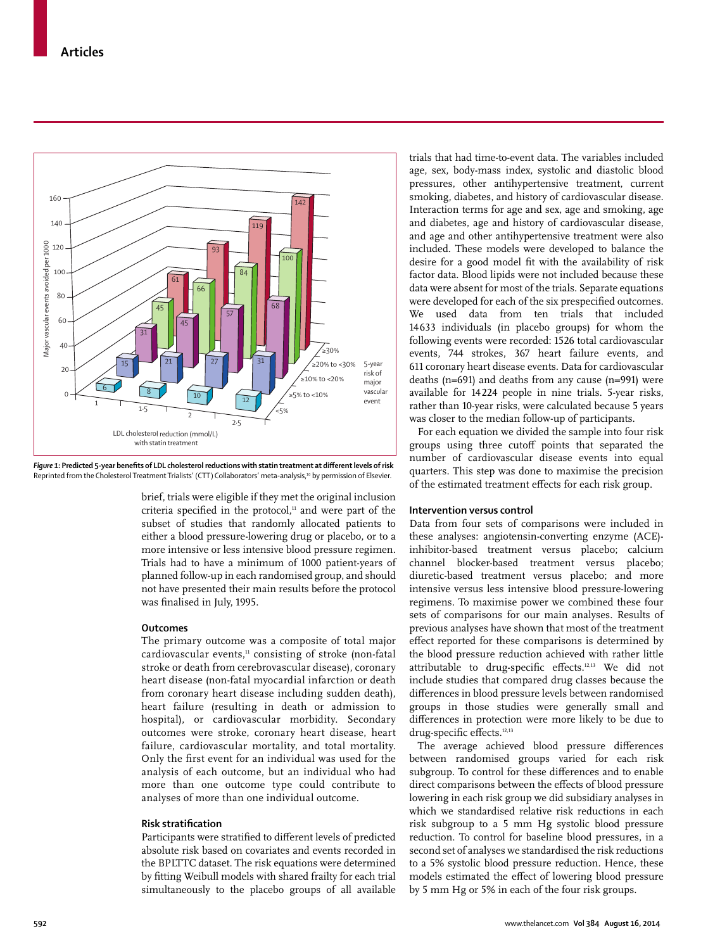

*Figure 1***: Predicted 5-year benefits of LDL cholesterol reductions with statin treatment at different levels of risk<br>Reprinted from the Cholesterol Treatment Trialists' (CTT) Collaborators' meta-analysis,<sup>10</sup> by permiss** 

brief, trials were eligible if they met the original inclusion criteria specified in the protocol, $11$  and were part of the subset of studies that randomly allocated patients to either a blood pressure-lowering drug or placebo, or to a more intensive or less intensive blood pressure regimen. Trials had to have a minimum of 1000 patient-years of planned follow-up in each randomised group, and should not have presented their main results before the protocol was finalised in July, 1995.

#### **Outcomes**

The primary outcome was a composite of total major cardiovascular events,<sup>11</sup> consisting of stroke (non-fatal stroke or death from cerebrovascular disease), coronary heart disease (non-fatal myocardial infarction or death from coronary heart disease including sudden death), heart failure (resulting in death or admission to hospital), or cardiovascular morbidity. Secondary outcomes were stroke, coronary heart disease, heart failure, cardiovascular mortality, and total mortality. Only the first event for an individual was used for the analysis of each outcome, but an individual who had more than one outcome type could contribute to analyses of more than one individual outcome.

#### **Risk stratifi cation**

Participants were stratified to different levels of predicted absolute risk based on covariates and events recorded in the BPLTTC dataset. The risk equations were determined by fitting Weibull models with shared frailty for each trial simultaneously to the placebo groups of all available trials that had time-to-event data. The variables included age, sex, body-mass index, systolic and diastolic blood pressures, other antihypertensive treatment, current smoking, diabetes, and history of cardiovascular disease. Interaction terms for age and sex, age and smoking, age and diabetes, age and history of cardiovascular disease, and age and other antihypertensive treatment were also included. These models were developed to balance the desire for a good model fit with the availability of risk factor data. Blood lipids were not included because these data were absent for most of the trials. Separate equations were developed for each of the six prespecified outcomes. We used data from ten trials that included 14 633 individuals (in placebo groups) for whom the following events were recorded: 1526 total cardiovascular events, 744 strokes, 367 heart failure events, and 611 coronary heart disease events. Data for cardiovascular deaths (n=691) and deaths from any cause (n=991) were available for 14 224 people in nine trials. 5-year risks, rather than 10-year risks, were calculated because 5 years was closer to the median follow-up of participants.

For each equation we divided the sample into four risk groups using three cutoff points that separated the number of cardiovascular disease events into equal quarters. This step was done to maximise the precision of the estimated treatment effects for each risk group.

## **Intervention versus control**

Data from four sets of comparisons were included in these analyses: angiotensin-converting enzyme (ACE) inhibitor-based treatment versus placebo; calcium channel blocker-based treatment versus placebo; diuretic-based treatment versus placebo; and more intensive versus less intensive blood pressure-lowering regimens. To maximise power we combined these four sets of comparisons for our main analyses. Results of previous analyses have shown that most of the treatment effect reported for these comparisons is determined by the blood pressure reduction achieved with rather little attributable to drug-specific effects.<sup>12,13</sup> We did not include studies that compared drug classes because the differences in blood pressure levels between randomised groups in those studies were generally small and differences in protection were more likely to be due to drug-specific effects.<sup>12,13</sup>

The average achieved blood pressure differences between randomised groups varied for each risk subgroup. To control for these differences and to enable direct comparisons between the effects of blood pressure lowering in each risk group we did subsidiary analyses in which we standardised relative risk reductions in each risk subgroup to a 5 mm Hg systolic blood pressure reduction. To control for baseline blood pressures, in a second set of analyses we standardised the risk reductions to a 5% systolic blood pressure reduction. Hence, these models estimated the effect of lowering blood pressure by 5 mm Hg or 5% in each of the four risk groups.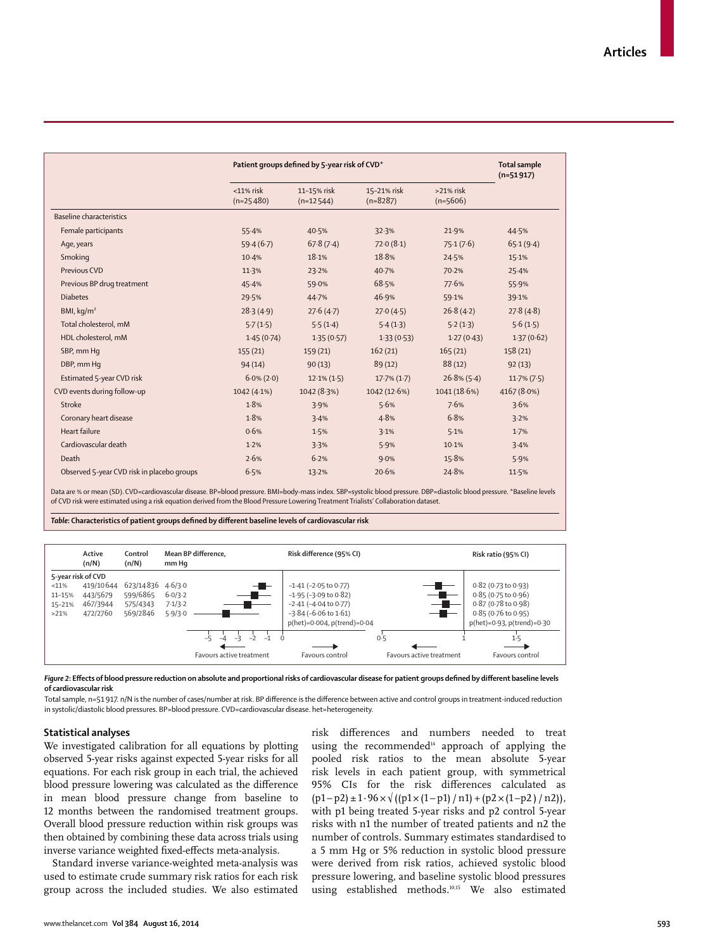|                                            | Patient groups defined by 5-year risk of CVD* |                            |                           |                            | <b>Total sample</b><br>$(n=51917)$ |
|--------------------------------------------|-----------------------------------------------|----------------------------|---------------------------|----------------------------|------------------------------------|
|                                            | $<$ 11% risk<br>$(n=25480)$                   | 11-15% risk<br>$(n=12544)$ | 15-21% risk<br>$(n=8287)$ | $>21\%$ risk<br>$(n=5606)$ |                                    |
| <b>Baseline characteristics</b>            |                                               |                            |                           |                            |                                    |
| Female participants                        | 55.4%                                         | 40.5%                      | 32.3%                     | 21.9%                      | 44.5%                              |
| Age, years                                 | 59.4(6.7)                                     | 67.8(7.4)                  | 72.0(8.1)                 | 75.1(7.6)                  | 65.1(9.4)                          |
| Smoking                                    | $10-4%$                                       | 18.1%                      | 18.8%                     | 24.5%                      | 15.1%                              |
| Previous CVD                               | 11.3%                                         | 23.2%                      | 40.7%                     | 70.2%                      | 25.4%                              |
| Previous BP drug treatment                 | 45.4%                                         | 59.0%                      | 68.5%                     | 77.6%                      | 55.9%                              |
| <b>Diabetes</b>                            | 29.5%                                         | 44.7%                      | 46.9%                     | 59.1%                      | 39.1%                              |
| BMI, kg/m <sup>2</sup>                     | 28.3(4.9)                                     | 27.6(4.7)                  | 27.0(4.5)                 | 26.8(4.2)                  | 27.8(4.8)                          |
| Total cholesterol, mM                      | 5.7(1.5)                                      | 5.5(1.4)                   | 5.4(1.3)                  | 5.2(1.3)                   | 5.6(1.5)                           |
| HDL cholesterol, mM                        | 1.45(0.74)                                    | 1.35(0.57)                 | 1.33(0.53)                | 1.27(0.43)                 | 1.37(0.62)                         |
| SBP, mm Hq                                 | 155(21)                                       | 159 (21)                   | 162(21)                   | 165(21)                    | 158(21)                            |
| DBP, mm Hq                                 | 94(14)                                        | 90(13)                     | 89 (12)                   | 88(12)                     | 92(13)                             |
| Estimated 5-year CVD risk                  | $6.0\%$ (2.0)                                 | $12.1\% (1.5)$             | $17.7\%$ $(1.7)$          | $26.8\%$ (5.4)             | $11.7\%$ (7.5)                     |
| CVD events during follow-up                | 1042 (4.1%)                                   | 1042 (8.3%)                | 1042 (12.6%)              | 1041 (18.6%)               | 4167 (8.0%)                        |
| Stroke                                     | 1.8%                                          | 3.9%                       | 5.6%                      | 7.6%                       | 3.6%                               |
| Coronary heart disease                     | 1.8%                                          | 3.4%                       | 4.8%                      | 6.8%                       | 3.2%                               |
| <b>Heart failure</b>                       | 0.6%                                          | 1.5%                       | 3.1%                      | 5.1%                       | 1.7%                               |
| Cardiovascular death                       | 1.2%                                          | 3.3%                       | 5.9%                      | 10.1%                      | 3.4%                               |
| Death                                      | 2.6%                                          | 6.2%                       | 9.0%                      | 15.8%                      | 5.9%                               |
| Observed 5-year CVD risk in placebo groups | 6.5%                                          | 13.2%                      | 20.6%                     | 24.8%                      | 11.5%                              |

Data are % or mean (SD). CVD=cardiovascular disease. BP=blood pressure. BMI=body-mass index. SBP=systolic blood pressure. DBP=diastolic blood pressure. \*Baseline levels of CVD risk were estimated using a risk equation derived from the Blood Pressure Lowering Treatment Trialists' Collaboration dataset.

Table: Characteristics of patient groups defined by different baseline levels of cardiovascular risk



Figure 2: Effects of blood pressure reduction on absolute and proportional risks of cardiovascular disease for patient groups defined by different baseline levels **of cardiovascular risk**

Total sample, n=51 917. n/N is the number of cases/number at risk. BP difference is the difference between active and control groups in treatment-induced reduction in systolic/diastolic blood pressures. BP=blood pressure. CVD=cardiovascular disease. het=heterogeneity.

#### **Statistical analyses**

We investigated calibration for all equations by plotting observed 5-year risks against expected 5-year risks for all equations. For each risk group in each trial, the achieved blood pressure lowering was calculated as the difference in mean blood pressure change from baseline to 12 months between the randomised treatment groups. Overall blood pressure reduction within risk groups was then obtained by combining these data across trials using inverse variance weighted fixed-effects meta-analysis.

Standard inverse variance-weighted meta-analysis was used to estimate crude summary risk ratios for each risk group across the included studies. We also estimated risk differences and numbers needed to treat using the recommended<sup>14</sup> approach of applying the pooled risk ratios to the mean absolute 5-year risk levels in each patient group, with symmetrical 95% CIs for the risk differences calculated as  $(p1-p2) \pm 1.96 \times \sqrt{(p1 \times (1-p1)/n1) + (p2 \times (1-p2)/n2)}$ with p1 being treated 5-year risks and p2 control 5-year risks with n1 the number of treated patients and n2 the number of controls. Summary estimates standardised to a 5 mm Hg or 5% reduction in systolic blood pressure were derived from risk ratios, achieved systolic blood pressure lowering, and baseline systolic blood pressures using established methods.10,15 We also estimated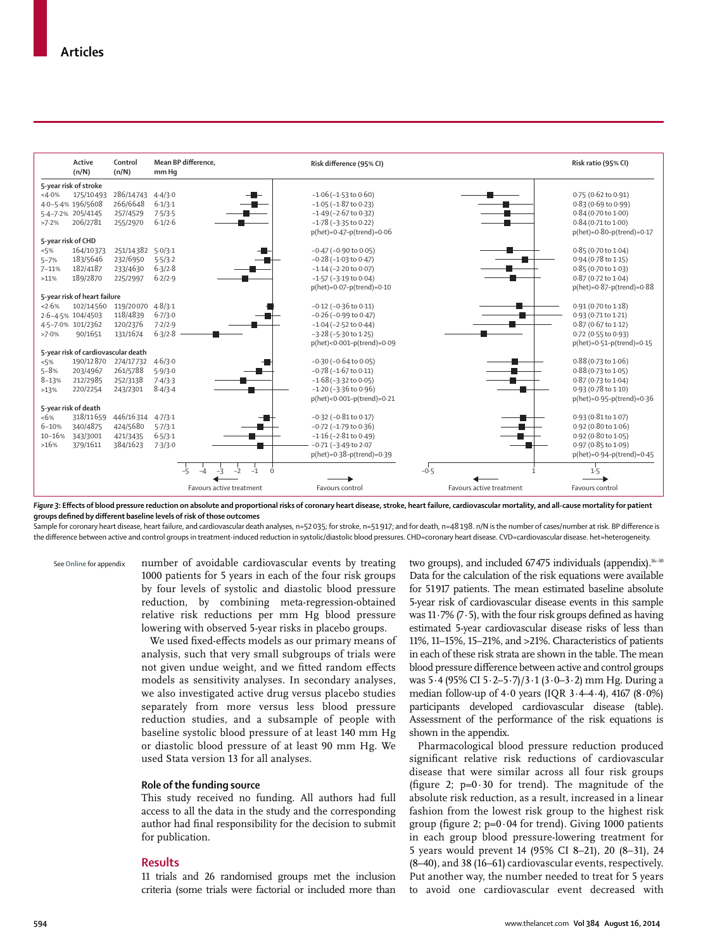

Figure 3: Effects of blood pressure reduction on absolute and proportional risks of coronary heart disease, stroke, heart failure, cardiovascular mortality, and all-cause mortality for patient **groups defi ned by diff erent baseline levels of risk of those outcomes**

Sample for coronary heart disease, heart failure, and cardiovascular death analyses, n=52 035; for stroke, n=51 917; and for death, n=48 198, n/N is the number of cases/number at risk. BP difference is the difference between active and control groups in treatment-induced reduction in systolic/diastolic blood pressures. CHD=coronary heart disease. CVD=cardiovascular disease. het=heterogeneity.

See **Online** for appendix

number of avoidable cardiovascular events by treating 1000 patients for 5 years in each of the four risk groups by four levels of systolic and diastolic blood pressure reduction, by combining meta-regression-obtained relative risk reductions per mm Hg blood pressure lowering with observed 5-year risks in placebo groups.

We used fixed-effects models as our primary means of analysis, such that very small subgroups of trials were not given undue weight, and we fitted random effects models as sensitivity analyses. In secondary analyses, we also investigated active drug versus placebo studies separately from more versus less blood pressure reduction studies, and a subsample of people with baseline systolic blood pressure of at least 140 mm Hg or diastolic blood pressure of at least 90 mm Hg. We used Stata version 13 for all analyses.

## **Role of the funding source**

This study received no funding. All authors had full access to all the data in the study and the corresponding author had final responsibility for the decision to submit for publication.

## **Results**

11 trials and 26 randomised groups met the inclusion criteria (some trials were factorial or included more than two groups), and included 67475 individuals (appendix).<sup>16-30</sup> Data for the calculation of the risk equations were available for 51917 patients. The mean estimated baseline absolute 5-year risk of cardiovascular disease events in this sample was  $11.7\%$  (7 $\cdot$ 5), with the four risk groups defined as having estimated 5-year cardiovascular disease risks of less than 11%, 11–15%, 15–21%, and >21%. Characteristics of patients in each of these risk strata are shown in the table. The mean blood pressure difference between active and control groups was 5·4 (95% CI 5·2–5·7)/3·1 (3·0–3·2) mm Hg. During a median follow-up of 4·0 years (IQR 3·4–4·4), 4167 (8·0%) participants developed cardiovascular disease (table). Assessment of the performance of the risk equations is shown in the appendix.

Pharmacological blood pressure reduction produced significant relative risk reductions of cardiovascular disease that were similar across all four risk groups (figure 2;  $p=0.30$  for trend). The magnitude of the absolute risk reduction, as a result, increased in a linear fashion from the lowest risk group to the highest risk group (figure 2;  $p=0.04$  for trend). Giving 1000 patients in each group blood pressure-lowering treatment for 5 years would prevent 14 (95% CI 8–21), 20 (8–31), 24 (8–40), and 38 (16–61) cardiovascular events, respectively. Put another way, the number needed to treat for 5 years to avoid one cardiovascular event decreased with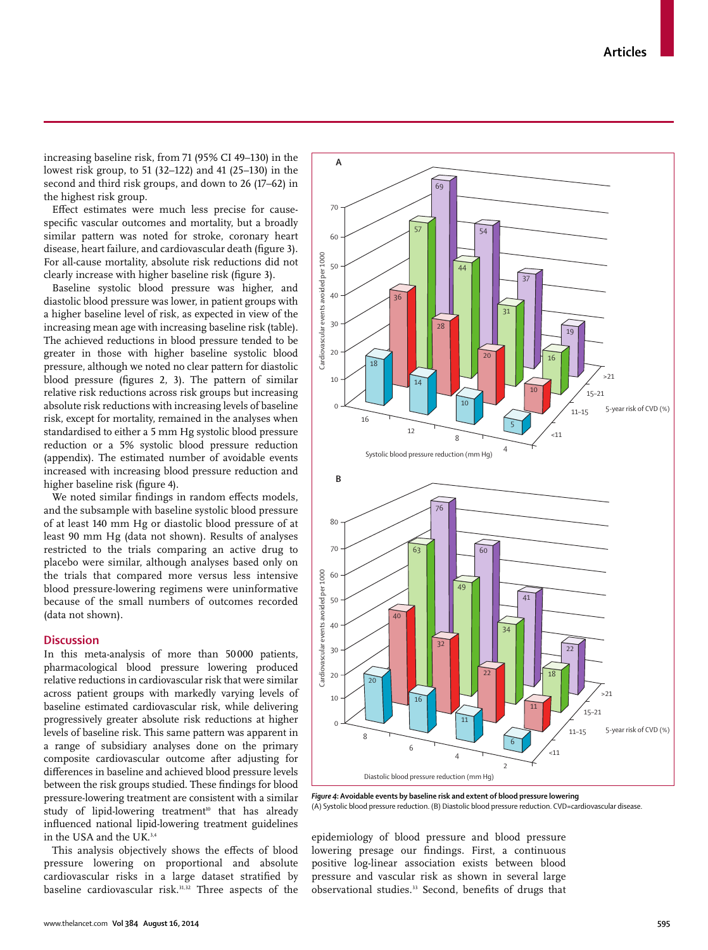increasing baseline risk, from 71 (95% CI 49–130) in the lowest risk group, to 51 (32–122) and 41 (25–130) in the second and third risk groups, and down to 26 (17–62) in the highest risk group.

Effect estimates were much less precise for causespecific vascular outcomes and mortality, but a broadly similar pattern was noted for stroke, coronary heart disease, heart failure, and cardiovascular death (figure 3). For all-cause mortality, absolute risk reductions did not clearly increase with higher baseline risk (figure 3).

Baseline systolic blood pressure was higher, and diastolic blood pressure was lower, in patient groups with a higher baseline level of risk, as expected in view of the increasing mean age with increasing baseline risk (table). The achieved reductions in blood pressure tended to be greater in those with higher baseline systolic blood pressure, although we noted no clear pattern for diastolic blood pressure (figures 2, 3). The pattern of similar relative risk reductions across risk groups but increasing absolute risk reductions with increasing levels of baseline risk, except for mortality, remained in the analyses when standardised to either a 5 mm Hg systolic blood pressure reduction or a 5% systolic blood pressure reduction (appendix). The estimated number of avoidable events increased with increasing blood pressure reduction and higher baseline risk (figure 4).

We noted similar findings in random effects models, and the subsample with baseline systolic blood pressure of at least 140 mm Hg or diastolic blood pressure of at least 90 mm Hg (data not shown). Results of analyses restricted to the trials comparing an active drug to placebo were similar, although analyses based only on the trials that compared more versus less intensive blood pressure-lowering regimens were uninformative because of the small numbers of outcomes recorded (data not shown).

# **Discussion**

In this meta-analysis of more than 50 000 patients, pharmacological blood pressure lowering produced relative reductions in cardiovascular risk that were similar across patient groups with markedly varying levels of baseline estimated cardiovascular risk, while delivering progressively greater absolute risk reductions at higher levels of baseline risk. This same pattern was apparent in a range of subsidiary analyses done on the primary composite cardiovascular outcome after adjusting for differences in baseline and achieved blood pressure levels between the risk groups studied. These findings for blood pressure-lowering treatment are consistent with a similar study of lipid-lowering treatment<sup>10</sup> that has already influenced national lipid-lowering treatment guidelines in the USA and the UK.<sup>3,4</sup>

This analysis objectively shows the effects of blood pressure lowering on proportional and absolute cardiovascular risks in a large dataset stratified by baseline cardiovascular risk.<sup>31,32</sup> Three aspects of the



*Figure 4***: Avoidable events by baseline risk and extent of blood pressure lowering** (A) Systolic blood pressure reduction. (B) Diastolic blood pressure reduction. CVD=cardiovascular disease.

epidemiology of blood pressure and blood pressure lowering presage our findings. First, a continuous positive log-linear association exists between blood pressure and vascular risk as shown in several large observational studies.<sup>33</sup> Second, benefits of drugs that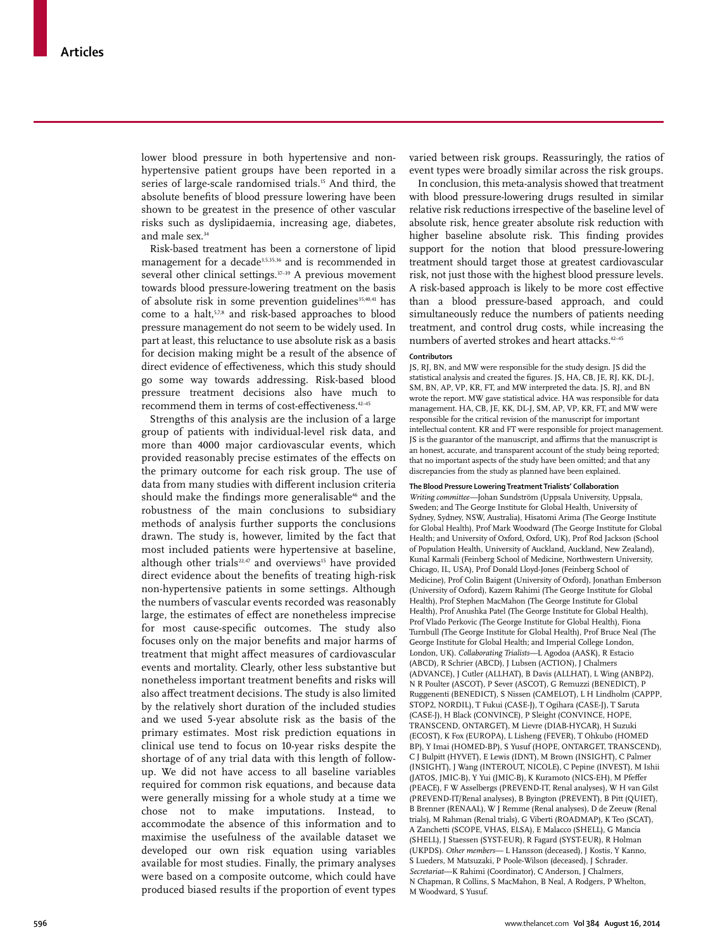lower blood pressure in both hypertensive and nonhypertensive patient groups have been reported in a series of large-scale randomised trials.<sup>15</sup> And third, the absolute benefits of blood pressure lowering have been shown to be greatest in the presence of other vascular risks such as dyslipidaemia, increasing age, diabetes, and male sex.<sup>3</sup>

Risk-based treatment has been a cornerstone of lipid management for a decade<sup>3,5,35,36</sup> and is recommended in several other clinical settings.<sup>37-39</sup> A previous movement towards blood pressure-lowering treatment on the basis of absolute risk in some prevention guidelines<sup>35,40,41</sup> has come to a halt.<sup>5,7,8</sup> and risk-based approaches to blood pressure management do not seem to be widely used. In part at least, this reluctance to use absolute risk as a basis for decision making might be a result of the absence of direct evidence of effectiveness, which this study should go some way towards addressing. Risk-based blood pressure treatment decisions also have much to recommend them in terms of cost-effectiveness.<sup>42-45</sup>

Strengths of this analysis are the inclusion of a large group of patients with individual-level risk data, and more than 4000 major cardiovascular events, which provided reasonably precise estimates of the effects on the primary outcome for each risk group. The use of data from many studies with different inclusion criteria should make the findings more generalisable<sup>46</sup> and the robustness of the main conclusions to subsidiary methods of analysis further supports the conclusions drawn. The study is, however, limited by the fact that most included patients were hypertensive at baseline, although other trials<sup>22,47</sup> and overviews<sup>15</sup> have provided direct evidence about the benefits of treating high-risk non-hypertensive patients in some settings. Although the numbers of vascular events recorded was reasonably large, the estimates of effect are nonetheless imprecise for most cause-specific outcomes. The study also focuses only on the major benefits and major harms of treatment that might affect measures of cardiovascular events and mortality. Clearly, other less substantive but nonetheless important treatment benefits and risks will also affect treatment decisions. The study is also limited by the relatively short duration of the included studies and we used 5-year absolute risk as the basis of the primary estimates. Most risk prediction equations in clinical use tend to focus on 10-year risks despite the shortage of of any trial data with this length of followup. We did not have access to all baseline variables required for common risk equations, and because data were generally missing for a whole study at a time we chose not to make imputations. Instead, to accommodate the absence of this information and to maximise the usefulness of the available dataset we developed our own risk equation using variables available for most studies. Finally, the primary analyses were based on a composite outcome, which could have produced biased results if the proportion of event types

varied between risk groups. Reassuringly, the ratios of event types were broadly similar across the risk groups.

In conclusion, this meta-analysis showed that treatment with blood pressure-lowering drugs resulted in similar relative risk reductions irrespective of the baseline level of absolute risk, hence greater absolute risk reduction with higher baseline absolute risk. This finding provides support for the notion that blood pressure-lowering treatment should target those at greatest cardiovascular risk, not just those with the highest blood pressure levels. A risk-based approach is likely to be more cost effective than a blood pressure-based approach, and could simultaneously reduce the numbers of patients needing treatment, and control drug costs, while increasing the numbers of averted strokes and heart attacks.<sup>42-45</sup>

#### **Contributors**

JS, RJ, BN, and MW were responsible for the study design. JS did the statistical analysis and created the figures. JS, HA, CB, JE, RJ, KK, DL-J, SM, BN, AP, VP, KR, FT, and MW interpreted the data. [S, RJ, and BN wrote the report. MW gave statistical advice. HA was responsible for data management. HA, CB, JE, KK, DL-J, SM, AP, VP, KR, FT, and MW were responsible for the critical revision of the manuscript for important intellectual content. KR and FT were responsible for project management. JS is the guarantor of the manuscript, and affirms that the manuscript is an honest, accurate, and transparent account of the study being reported; that no important aspects of the study have been omitted; and that any discrepancies from the study as planned have been explained.

## **The Blood Pressure Lowering Treatment Trialists' Collaboration**

*Writing committee—*Johan Sundström (Uppsala University, Uppsala, Sweden; and The George Institute for Global Health, University of Sydney, Sydney, NSW, Australia), Hisatomi Arima (The George Institute for Global Health), Prof Mark Woodward (The George Institute for Global Health; and University of Oxford, Oxford, UK), Prof Rod Jackson (School of Population Health, University of Auckland, Auckland, New Zealand), Kunal Karmali (Feinberg School of Medicine, Northwestern University, Chicago, IL, USA), Prof Donald Lloyd-Jones (Feinberg School of Medicine), Prof Colin Baigent (University of Oxford), Jonathan Emberson (University of Oxford), Kazem Rahimi (The George Institute for Global Health), Prof Stephen MacMahon (The George Institute for Global Health), Prof Anushka Patel (The George Institute for Global Health), Prof Vlado Perkovic (The George Institute for Global Health), Fiona Turnbull (The George Institute for Global Health), Prof Bruce Neal (The George Institute for Global Health; and Imperial College London, London, UK). *Collaborating Trialists—*L Agodoa (AASK), R Estacio (ABCD), R Schrier (ABCD), J Lubsen (ACTION), J Chalmers (ADVANCE), J Cutler (ALLHAT), B Davis (ALLHAT), L Wing (ANBP2), N R Poulter (ASCOT), P Sever (ASCOT), G Remuzzi (BENEDICT), P Ruggenenti (BENEDICT), S Nissen (CAMELOT), L H Lindholm (CAPPP, STOP2, NORDIL), T Fukui (CASE-J), T Ogihara (CASE-J), T Saruta (CASE-J), H Black (CONVINCE), P Sleight (CONVINCE, HOPE, TRANSCEND, ONTARGET), M Lievre (DIAB-HYCAR), H Suzuki (ECOST), K Fox (EUROPA), L Lisheng (FEVER), T Ohkubo (HOMED BP), Y Imai (HOMED-BP), S Yusuf (HOPE, ONTARGET, TRANSCEND), C J Bulpitt (HYVET), E Lewis (IDNT), M Brown (INSIGHT), C Palmer (INSIGHT), J Wang (INTEROUT, NICOLE), C Pepine (INVEST), M Ishii (JATOS, JMIC-B), Y Yui (JMIC-B), K Kuramoto (NICS-EH), M Pfeffer (PEACE), F W Asselbergs (PREVEND-IT, Renal analyses), W H van Gilst (PREVEND-IT/Renal analyses), B Byington (PREVENT), B Pitt (QUIET), B Brenner (RENAAL), W J Remme (Renal analyses), D de Zeeuw (Renal trials), M Rahman (Renal trials), G Viberti (ROADMAP), K Teo (SCAT), A Zanchetti (SCOPE, VHAS, ELSA), E Malacco (SHELL), G Mancia (SHELL), J Staessen (SYST-EUR), R Fagard (SYST-EUR), R Holman (UKPDS). *Other members*— L Hansson (deceased), J Kostis, Y Kanno, S Lueders, M Matsuzaki, P Poole-Wilson (deceased), J Schrader*. Secretariat*—K Rahimi (Coordinator), C Anderson, J Chalmers, N Chapman, R Collins, S MacMahon, B Neal, A Rodgers, P Whelton, M Woodward, S Yusuf.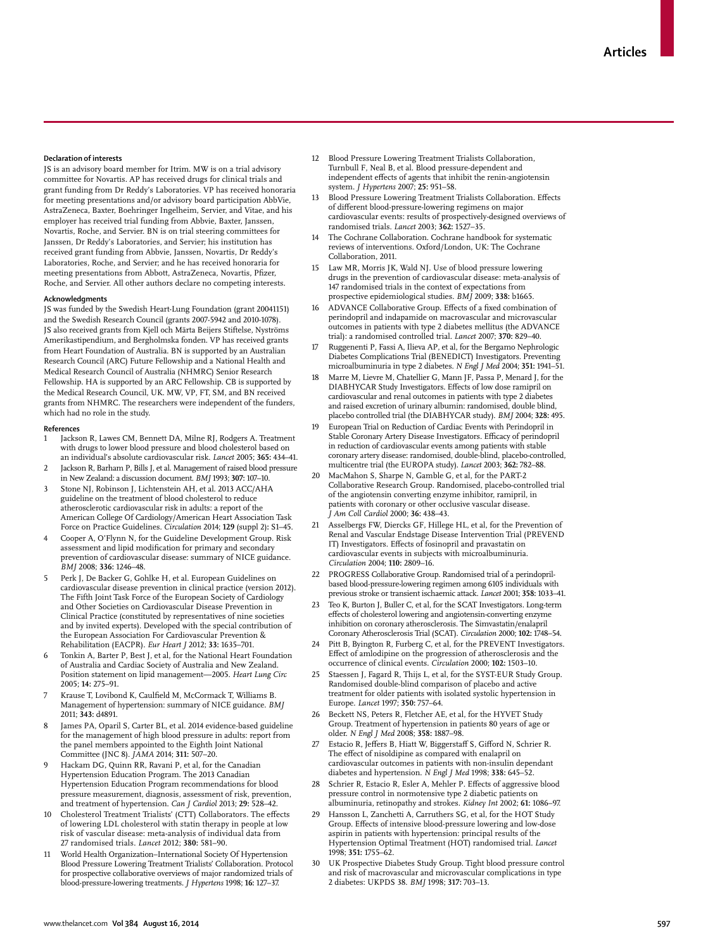#### **Declaration of interests**

JS is an advisory board member for Itrim. MW is on a trial advisory committee for Novartis. AP has received drugs for clinical trials and grant funding from Dr Reddy's Laboratories. VP has received honoraria for meeting presentations and/or advisory board participation AbbVie, AstraZeneca, Baxter, Boehringer Ingelheim, Servier, and Vitae, and his employer has received trial funding from Abbvie, Baxter, Janssen, Novartis, Roche, and Servier. BN is on trial steering committees for Janssen, Dr Reddy's Laboratories, and Servier; his institution has received grant funding from Abbvie, Janssen, Novartis, Dr Reddy's Laboratories, Roche, and Servier; and he has received honoraria for meeting presentations from Abbott, AstraZeneca, Novartis, Pfizer, Roche, and Servier. All other authors declare no competing interests.

#### **Acknowledgments**

JS was funded by the Swedish Heart-Lung Foundation (grant 20041151) and the Swedish Research Council (grants 2007-5942 and 2010-1078). JS also received grants from Kjell och Märta Beijers Stiftelse, Nyströms Amerikastipendium, and Bergholmska fonden. VP has received grants from Heart Foundation of Australia. BN is supported by an Australian Research Council (ARC) Future Fellowship and a National Health and Medical Research Council of Australia (NHMRC) Senior Research Fellowship. HA is supported by an ARC Fellowship. CB is supported by the Medical Research Council, UK. MW, VP, FT, SM, and BN received grants from NHMRC. The researchers were independent of the funders, which had no role in the study.

#### **References**

- 1 Jackson R, Lawes CM, Bennett DA, Milne RJ, Rodgers A. Treatment with drugs to lower blood pressure and blood cholesterol based on an individual's absolute cardiovascular risk. *Lancet* 2005; **365:** 434–41.
- Jackson R, Barham P, Bills J, et al. Management of raised blood pressure in New Zealand: a discussion document. *BMJ* 1993; **307:** 107–10.
- 3 Stone NJ, Robinson J, Lichtenstein AH, et al. 2013 ACC/AHA guideline on the treatment of blood cholesterol to reduce atherosclerotic cardiovascular risk in adults: a report of the American College Of Cardiology/American Heart Association Task Force on Practice Guidelines. *Circulation* 2014; **129** (suppl 2)**:** S1–45.
- 4 Cooper A, O'Flynn N, for the Guideline Development Group. Risk assessment and lipid modification for primary and secondary prevention of cardiovascular disease: summary of NICE guidance. *BMJ* 2008; **336:** 1246–48.
- 5 Perk J, De Backer G, Gohlke H, et al. European Guidelines on cardiovascular disease prevention in clinical practice (version 2012). The Fifth Joint Task Force of the European Society of Cardiology and Other Societies on Cardiovascular Disease Prevention in Clinical Practice (constituted by representatives of nine societies and by invited experts). Developed with the special contribution of the European Association For Cardiovascular Prevention & Rehabilitation (EACPR). *Eur Heart J* 2012; **33:** 1635–701.
- 6 Tonkin A, Barter P, Best J, et al, for the National Heart Foundation of Australia and Cardiac Society of Australia and New Zealand. Position statement on lipid management—2005. *Heart Lung Circ* 2005; **14:** 275–91.
- Krause T, Lovibond K, Caulfield M, McCormack T, Williams B. Management of hypertension: summary of NICE guidance. *BMJ* 2011; **343:** d4891 .
- James PA, Oparil S, Carter BL, et al. 2014 evidence-based guideline for the management of high blood pressure in adults: report from the panel members appointed to the Eighth Joint National Committee (JNC 8). *JAMA* 2014; **311:** 507–20.
- Hackam DG, Quinn RR, Ravani P, et al, for the Canadian Hypertension Education Program. The 2013 Canadian Hypertension Education Program recommendations for blood pressure measurement, diagnosis, assessment of risk, prevention, and treatment of hypertension. *Can J Cardiol* 2013; **29:** 528–42 .
- 10 Cholesterol Treatment Trialists' (CTT) Collaborators. The effects of lowering LDL cholesterol with statin therapy in people at low risk of vascular disease: meta-analysis of individual data from 27 randomised trials. *Lancet* 2012; **380:** 581–90.
- World Health Organization–International Society Of Hypertension Blood Pressure Lowering Treatment Trialists' Collaboration. Protocol for prospective collaborative overviews of major randomized trials of blood-pressure-lowering treatments. *J Hypertens* 1998; **16:** 127–37 .
- 12 Blood Pressure Lowering Treatment Trialists Collaboration, Turnbull F, Neal B, et al. Blood pressure-dependent and independent effects of agents that inhibit the renin-angiotensin system. *J Hypertens* 2007; **25:** 951–58.
- 13 Blood Pressure Lowering Treatment Trialists Collaboration. Effects of different blood-pressure-lowering regimens on major cardiovascular events: results of prospectively-designed overviews of randomised trials. *Lancet* 2003; **362:** 1527–35.
- The Cochrane Collaboration. Cochrane handbook for systematic reviews of interventions. Oxford/London, UK: The Cochrane Collaboration, 2011.
- 15 Law MR, Morris JK, Wald NJ. Use of blood pressure lowering drugs in the prevention of cardiovascular disease: meta-analysis of 147 randomised trials in the context of expectations from prospective epidemiological studies. *BMJ* 2009; **338:** b1665.
- ADVANCE Collaborative Group. Effects of a fixed combination of perindopril and indapamide on macrovascular and microvascular outcomes in patients with type 2 diabetes mellitus (the ADVANCE trial): a randomised controlled trial. *Lancet* 2007; **370:** 829–40.
- Ruggenenti P, Fassi A, Ilieva AP, et al, for the Bergamo Nephrologic Diabetes Complications Trial (BENEDICT) Investigators. Preventing microalbuminuria in type 2 diabetes. *N Engl J Med* 2004; **351:** 1941–51.
- Marre M, Lievre M, Chatellier G, Mann JF, Passa P, Menard J, for the DIABHYCAR Study Investigators. Effects of low dose ramipril on cardiovascular and renal outcomes in patients with type 2 diabetes and raised excretion of urinary albumin: randomised, double blind, placebo controlled trial (the DIABHYCAR study). *BMJ* 2004; **328:** 495 .
- 19 European Trial on Reduction of Cardiac Events with Perindopril in Stable Coronary Artery Disease Investigators. Efficacy of perindopril in reduction of cardiovascular events among patients with stable coronary artery disease: randomised, double-blind, placebo-controlled, multicentre trial (the EUROPA study). *Lancet* 2003; **362:** 782–88.
- MacMahon S, Sharpe N, Gamble G, et al, for the PART-2 Collaborative Research Group. Randomised, placebo-controlled trial of the angiotensin converting enzyme inhibitor, ramipril, in patients with coronary or other occlusive vascular disease. *J Am Coll Cardiol* 2000; **36:** 438–43.
- Asselbergs FW, Diercks GF, Hillege HL, et al, for the Prevention of Renal and Vascular Endstage Disease Intervention Trial (PREVEND IT) Investigators. Effects of fosinopril and pravastatin on cardiovascular events in subjects with microalbuminuria. *Circulation* 2004; **110:** 2809–16.
- 22 PROGRESS Collaborative Group. Randomised trial of a perindoprilbased blood-pressure-lowering regimen among 6105 individuals with previous stroke or transient ischaemic attack. *Lancet* 2001; **358:** 1033–41.
- Teo K, Burton J, Buller C, et al, for the SCAT Investigators. Long-term effects of cholesterol lowering and angiotensin-converting enzyme inhibition on coronary atherosclerosis. The Simvastatin/enalapril Coronary Atherosclerosis Trial (SCAT). *Circulation* 2000; **102:** 1748–54.
- Pitt B, Byington R, Furberg C, et al, for the PREVENT Investigators. Effect of amlodipine on the progression of atherosclerosis and the occurrence of clinical events. *Circulation* 2000; **102:** 1503–10.
- 25 Staessen J, Fagard R, Thijs L, et al, for the SYST-EUR Study Group. Randomised double-blind comparison of placebo and active treatment for older patients with isolated systolic hypertension in Europe. *Lancet* 1997; **350:** 757–64.
- 26 Beckett NS, Peters R, Fletcher AE, et al, for the HYVET Study Group. Treatment of hypertension in patients 80 years of age or older. *N Engl J Med* 2008; **358:** 1887–98.
- Estacio R, Jeffers B, Hiatt W, Biggerstaff S, Gifford N, Schrier R. The effect of nisoldipine as compared with enalapril on cardiovascular outcomes in patients with non-insulin dependant diabetes and hypertension. *N Engl J Med* 1998; **338:** 645–52.
- 28 Schrier R, Estacio R, Esler A, Mehler P. Effects of aggressive blood pressure control in normotensive type 2 diabetic patients on albuminuria, retinopathy and strokes. *Kidney Int* 2002; **61:** 1086–97.
- 29 Hansson L, Zanchetti A, Carruthers SG, et al, for the HOT Study Group. Effects of intensive blood-pressure lowering and low-dose aspirin in patients with hypertension: principal results of the Hypertension Optimal Treatment (HOT) randomised trial. *Lancet* 1998; **351:** 1755–62.
- 30 UK Prospective Diabetes Study Group. Tight blood pressure control and risk of macrovascular and microvascular complications in type 2 diabetes: UKPDS 38. *BMJ* 1998; **317:** 703–13.